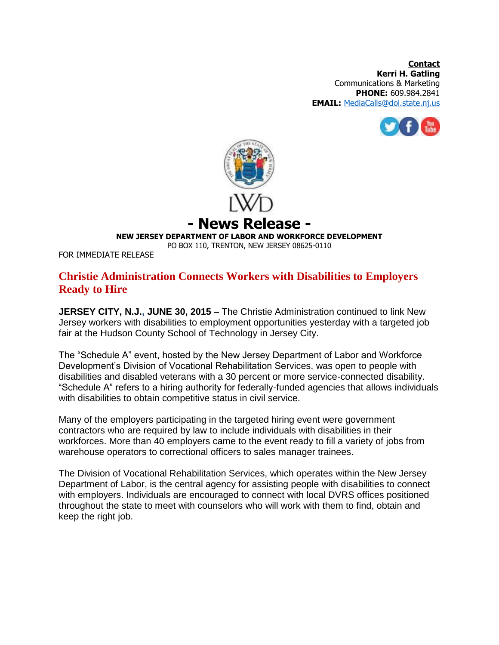**Contact Kerri H. Gatling** Communications & Marketing **PHONE:** 609.984.2841 **EMAIL:** [MediaCalls@dol.state.nj.us](mailto:MediaCalls@dol.state.nj.us)





## **- News Release -**

**NEW JERSEY DEPARTMENT OF LABOR AND WORKFORCE DEVELOPMENT**

PO BOX 110, TRENTON, NEW JERSEY 08625-0110

FOR IMMEDIATE RELEASE

## **Christie Administration Connects Workers with Disabilities to Employers Ready to Hire**

**JERSEY CITY, N.J., JUNE 30, 2015 –** The Christie Administration continued to link New Jersey workers with disabilities to employment opportunities yesterday with a targeted job fair at the Hudson County School of Technology in Jersey City.

The "Schedule A" event, hosted by the New Jersey Department of Labor and Workforce Development's Division of Vocational Rehabilitation Services, was open to people with disabilities and disabled veterans with a 30 percent or more service-connected disability. "Schedule A" refers to a hiring authority for federally-funded agencies that allows individuals with disabilities to obtain competitive status in civil service.

Many of the employers participating in the targeted hiring event were government contractors who are required by law to include individuals with disabilities in their workforces. More than 40 employers came to the event ready to fill a variety of jobs from warehouse operators to correctional officers to sales manager trainees.

The Division of Vocational Rehabilitation Services, which operates within the New Jersey Department of Labor, is the central agency for assisting people with disabilities to connect with employers. Individuals are encouraged to connect with local DVRS offices positioned throughout the state to meet with counselors who will work with them to find, obtain and keep the right job.